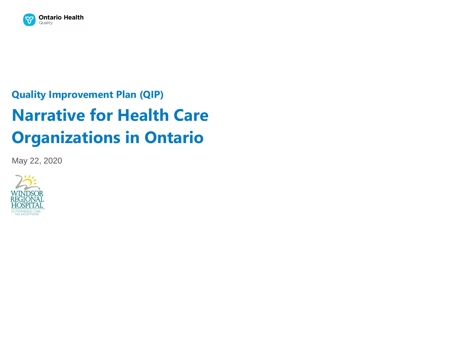

# **Quality Improvement Plan (QIP) Narrative for Health Care Organizations in Ontario**

May 22, 2020

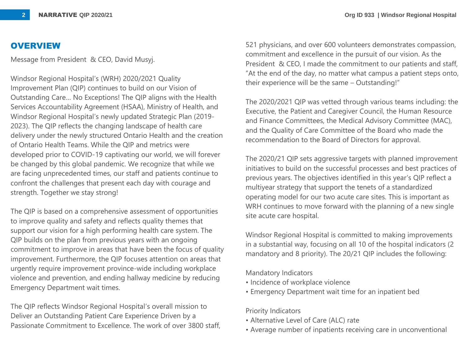#### **OVERVIEW**

Message from President & CEO, David Musyj.

Windsor Regional Hospital's (WRH) 2020/2021 Quality Improvement Plan (QIP) continues to build on our Vision of Outstanding Care… No Exceptions! The QIP aligns with the Health Services Accountability Agreement (HSAA), Ministry of Health, and Windsor Regional Hospital's newly updated Strategic Plan (2019- 2023). The QIP reflects the changing landscape of health care delivery under the newly structured Ontario Health and the creation of Ontario Health Teams. While the QIP and metrics were developed prior to COVID-19 captivating our world, we will forever be changed by this global pandemic. We recognize that while we are facing unprecedented times, our staff and patients continue to confront the challenges that present each day with courage and strength. Together we stay strong!

The QIP is based on a comprehensive assessment of opportunities to improve quality and safety and reflects quality themes that support our vision for a high performing health care system. The QIP builds on the plan from previous years with an ongoing commitment to improve in areas that have been the focus of quality improvement. Furthermore, the QIP focuses attention on areas that urgently require improvement province-wide including workplace violence and prevention, and ending hallway medicine by reducing Emergency Department wait times.

The QIP reflects Windsor Regional Hospital's overall mission to Deliver an Outstanding Patient Care Experience Driven by a Passionate Commitment to Excellence. The work of over 3800 staff,

521 physicians, and over 600 volunteers demonstrates compassion, commitment and excellence in the pursuit of our vision. As the President & CEO, I made the commitment to our patients and staff, "At the end of the day, no matter what campus a patient steps onto, their experience will be the same – Outstanding!"

The 2020/2021 QIP was vetted through various teams including: the Executive, the Patient and Caregiver Council, the Human Resource and Finance Committees, the Medical Advisory Committee (MAC), and the Quality of Care Committee of the Board who made the recommendation to the Board of Directors for approval.

The 2020/21 QIP sets aggressive targets with planned improvement initiatives to build on the successful processes and best practices of previous years. The objectives identified in this year's QIP reflect a multiyear strategy that support the tenets of a standardized operating model for our two acute care sites. This is important as WRH continues to move forward with the planning of a new single site acute care hospital.

Windsor Regional Hospital is committed to making improvements in a substantial way, focusing on all 10 of the hospital indicators (2 mandatory and 8 priority). The 20/21 QIP includes the following:

Mandatory Indicators

- Incidence of workplace violence
- Emergency Department wait time for an inpatient bed

Priority Indicators

- Alternative Level of Care (ALC) rate
- Average number of inpatients receiving care in unconventional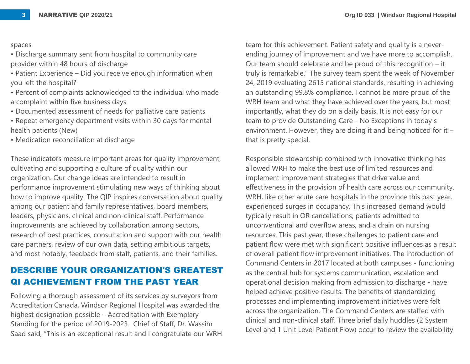#### spaces

- Discharge summary sent from hospital to community care provider within 48 hours of discharge
- Patient Experience Did you receive enough information when you left the hospital?
- Percent of complaints acknowledged to the individual who made a complaint within five business days
- Documented assessment of needs for palliative care patients
- Repeat emergency department visits within 30 days for mental health patients (New)
- Medication reconciliation at discharge

These indicators measure important areas for quality improvement, cultivating and supporting a culture of quality within our organization. Our change ideas are intended to result in performance improvement stimulating new ways of thinking about how to improve quality. The QIP inspires conversation about quality among our patient and family representatives, board members, leaders, physicians, clinical and non-clinical staff. Performance improvements are achieved by collaboration among sectors, research of best practices, consultation and support with our health care partners, review of our own data, setting ambitious targets, and most notably, feedback from staff, patients, and their families.

# **DESCRIBE YOUR ORGANIZATION'S GREATEST QI ACHIEVEMENT FROM THE PAST YEAR**

Following a thorough assessment of its services by surveyors from Accreditation Canada, Windsor Regional Hospital was awarded the highest designation possible – Accreditation with Exemplary Standing for the period of 2019-2023. Chief of Staff, Dr. Wassim Saad said, "This is an exceptional result and I congratulate our WRH

team for this achievement. Patient safety and quality is a neverending journey of improvement and we have more to accomplish. Our team should celebrate and be proud of this recognition – it truly is remarkable." The survey team spent the week of November 24, 2019 evaluating 2615 national standards, resulting in achieving an outstanding 99.8% compliance. I cannot be more proud of the WRH team and what they have achieved over the years, but most importantly, what they do on a daily basis. It is not easy for our team to provide Outstanding Care - No Exceptions in today's environment. However, they are doing it and being noticed for it – that is pretty special.

Responsible stewardship combined with innovative thinking has allowed WRH to make the best use of limited resources and implement improvement strategies that drive value and effectiveness in the provision of health care across our community. WRH, like other acute care hospitals in the province this past year, experienced surges in occupancy. This increased demand would typically result in OR cancellations, patients admitted to unconventional and overflow areas, and a drain on nursing resources. This past year, these challenges to patient care and patient flow were met with significant positive influences as a result of overall patient flow improvement initiatives. The introduction of Command Centers in 2017 located at both campuses - functioning as the central hub for systems communication, escalation and operational decision making from admission to discharge - have helped achieve positive results. The benefits of standardizing processes and implementing improvement initiatives were felt across the organization. The Command Centers are staffed with clinical and non-clinical staff. Three brief daily huddles (2 System Level and 1 Unit Level Patient Flow) occur to review the availability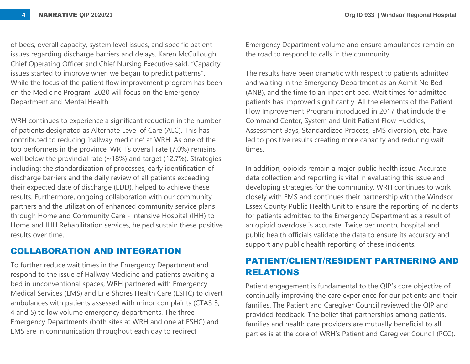of beds, overall capacity, system level issues, and specific patient issues regarding discharge barriers and delays. Karen McCullough, Chief Operating Officer and Chief Nursing Executive said, "Capacity issues started to improve when we began to predict patterns". While the focus of the patient flow improvement program has been on the Medicine Program, 2020 will focus on the Emergency Department and Mental Health.

WRH continues to experience a significant reduction in the number of patients designated as Alternate Level of Care (ALC). This has contributed to reducing 'hallway medicine' at WRH. As one of the top performers in the province, WRH's overall rate (7.0%) remains well below the provincial rate  $($  ~18%) and target (12.7%). Strategies including: the standardization of processes, early identification of discharge barriers and the daily review of all patients exceeding their expected date of discharge (EDD), helped to achieve these results. Furthermore, ongoing collaboration with our community partners and the utilization of enhanced community service plans through Home and Community Care - Intensive Hospital (IHH) to Home and IHH Rehabilitation services, helped sustain these positive results over time.

# **COLLABORATION AND INTEGRATION**

To further reduce wait times in the Emergency Department and respond to the issue of Hallway Medicine and patients awaiting a bed in unconventional spaces, WRH partnered with Emergency Medical Services (EMS) and Erie Shores Health Care (ESHC) to divert ambulances with patients assessed with minor complaints (CTAS 3, 4 and 5) to low volume emergency departments. The three Emergency Departments (both sites at WRH and one at ESHC) and EMS are in communication throughout each day to redirect

Emergency Department volume and ensure ambulances remain on the road to respond to calls in the community.

The results have been dramatic with respect to patients admitted and waiting in the Emergency Department as an Admit No Bed (ANB), and the time to an inpatient bed. Wait times for admitted patients has improved significantly. All the elements of the Patient Flow Improvement Program introduced in 2017 that include the Command Center, System and Unit Patient Flow Huddles, Assessment Bays, Standardized Process, EMS diversion, etc. have led to positive results creating more capacity and reducing wait times.

In addition, opioids remain a major public health issue. Accurate data collection and reporting is vital in evaluating this issue and developing strategies for the community. WRH continues to work closely with EMS and continues their partnership with the Windsor Essex County Public Health Unit to ensure the reporting of incidents for patients admitted to the Emergency Department as a result of an opioid overdose is accurate. Twice per month, hospital and public health officials validate the data to ensure its accuracy and support any public health reporting of these incidents.

# **PATIENT/CLIENT/RESIDENT PARTNERING AND RELATIONS**

Patient engagement is fundamental to the QIP's core objective of continually improving the care experience for our patients and their families. The Patient and Caregiver Council reviewed the QIP and provided feedback. The belief that partnerships among patients, families and health care providers are mutually beneficial to all parties is at the core of WRH's Patient and Caregiver Council (PCC).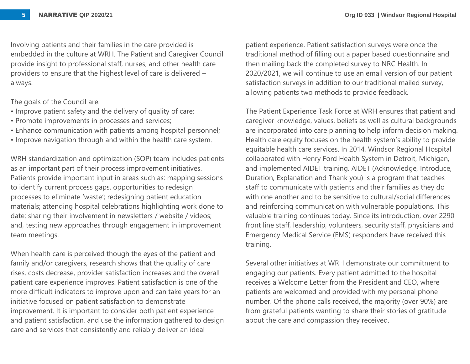Involving patients and their families in the care provided is embedded in the culture at WRH. The Patient and Caregiver Council provide insight to professional staff, nurses, and other health care providers to ensure that the highest level of care is delivered – always.

The goals of the Council are:

- Improve patient safety and the delivery of quality of care;
- Promote improvements in processes and services;
- Enhance communication with patients among hospital personnel;
- Improve navigation through and within the health care system.

WRH standardization and optimization (SOP) team includes patients as an important part of their process improvement initiatives. Patients provide important input in areas such as: mapping sessions to identify current process gaps, opportunities to redesign processes to eliminate 'waste'; redesigning patient education materials; attending hospital celebrations highlighting work done to date; sharing their involvement in newsletters / website / videos; and, testing new approaches through engagement in improvement team meetings.

When health care is perceived though the eyes of the patient and family and/or caregivers, research shows that the quality of care rises, costs decrease, provider satisfaction increases and the overall patient care experience improves. Patient satisfaction is one of the more difficult indicators to improve upon and can take years for an initiative focused on patient satisfaction to demonstrate improvement. It is important to consider both patient experience and patient satisfaction, and use the information gathered to design care and services that consistently and reliably deliver an ideal

patient experience. Patient satisfaction surveys were once the traditional method of filling out a paper based questionnaire and then mailing back the completed survey to NRC Health. In 2020/2021, we will continue to use an email version of our patient satisfaction surveys in addition to our traditional mailed survey, allowing patients two methods to provide feedback.

The Patient Experience Task Force at WRH ensures that patient and caregiver knowledge, values, beliefs as well as cultural backgrounds are incorporated into care planning to help inform decision making. Health care equity focuses on the health system's ability to provide equitable health care services. In 2014, Windsor Regional Hospital collaborated with Henry Ford Health System in Detroit, Michigan, and implemented AIDET training. AIDET (Acknowledge, Introduce, Duration, Explanation and Thank you) is a program that teaches staff to communicate with patients and their families as they do with one another and to be sensitive to cultural/social differences and reinforcing communication with vulnerable populations. This valuable training continues today. Since its introduction, over 2290 front line staff, leadership, volunteers, security staff, physicians and Emergency Medical Service (EMS) responders have received this training.

Several other initiatives at WRH demonstrate our commitment to engaging our patients. Every patient admitted to the hospital receives a Welcome Letter from the President and CEO, where patients are welcomed and provided with my personal phone number. Of the phone calls received, the majority (over 90%) are from grateful patients wanting to share their stories of gratitude about the care and compassion they received.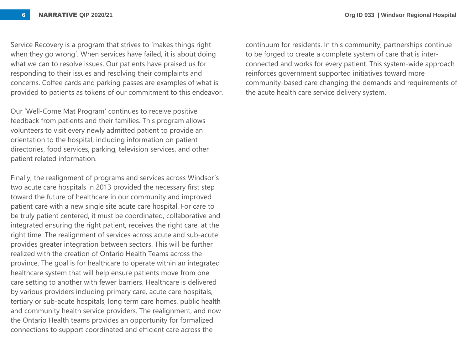Service Recovery is a program that strives to 'makes things right when they go wrong'. When services have failed, it is about doing what we can to resolve issues. Our patients have praised us for responding to their issues and resolving their complaints and concerns. Coffee cards and parking passes are examples of what is provided to patients as tokens of our commitment to this endeavor.

Our 'Well-Come Mat Program' continues to receive positive feedback from patients and their families. This program allows volunteers to visit every newly admitted patient to provide an orientation to the hospital, including information on patient directories, food services, parking, television services, and other patient related information.

Finally, the realignment of programs and services across Windsor's two acute care hospitals in 2013 provided the necessary first step toward the future of healthcare in our community and improved patient care with a new single site acute care hospital. For care to be truly patient centered, it must be coordinated, collaborative and integrated ensuring the right patient, receives the right care, at the right time. The realignment of services across acute and sub-acute provides greater integration between sectors. This will be further realized with the creation of Ontario Health Teams across the province. The goal is for healthcare to operate within an integrated healthcare system that will help ensure patients move from one care setting to another with fewer barriers. Healthcare is delivered by various providers including primary care, acute care hospitals, tertiary or sub-acute hospitals, long term care homes, public health and community health service providers. The realignment, and now the Ontario Health teams provides an opportunity for formalized connections to support coordinated and efficient care across the

continuum for residents. In this community, partnerships continue to be forged to create a complete system of care that is interconnected and works for every patient. This system-wide approach reinforces government supported initiatives toward more community-based care changing the demands and requirements of the acute health care service delivery system.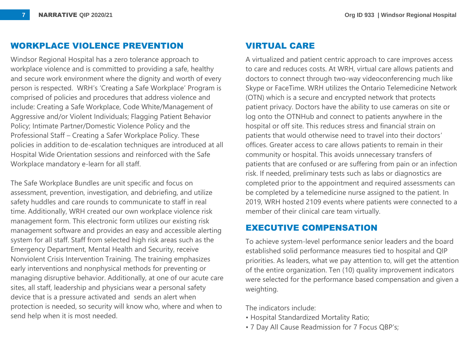## **WORKPLACE VIOLENCE PREVENTION**

Windsor Regional Hospital has a zero tolerance approach to workplace violence and is committed to providing a safe, healthy and secure work environment where the dignity and worth of every person is respected. WRH's 'Creating a Safe Workplace' Program is comprised of policies and procedures that address violence and include: Creating a Safe Workplace, Code White/Management of Aggressive and/or Violent Individuals; Flagging Patient Behavior Policy; Intimate Partner/Domestic Violence Policy and the Professional Staff – Creating a Safer Workplace Policy. These policies in addition to de-escalation techniques are introduced at all Hospital Wide Orientation sessions and reinforced with the Safe Workplace mandatory e-learn for all staff.

The Safe Workplace Bundles are unit specific and focus on assessment, prevention, investigation, and debriefing, and utilize safety huddles and care rounds to communicate to staff in real time. Additionally, WRH created our own workplace violence risk management form. This electronic form utilizes our existing risk management software and provides an easy and accessible alerting system for all staff. Staff from selected high risk areas such as the Emergency Department, Mental Health and Security, receive Nonviolent Crisis Intervention Training. The training emphasizes early interventions and nonphysical methods for preventing or managing disruptive behavior. Additionally, at one of our acute care sites, all staff, leadership and physicians wear a personal safety device that is a pressure activated and sends an alert when protection is needed, so security will know who, where and when to send help when it is most needed.

### **VIRTUAL CARE**

A virtualized and patient centric approach to care improves access to care and reduces costs. At WRH, virtual care allows patients and doctors to connect through two-way videoconferencing much like Skype or FaceTime. WRH utilizes the Ontario Telemedicine Network (OTN) which is a secure and encrypted network that protects patient privacy. Doctors have the ability to use cameras on site or log onto the OTNHub and connect to patients anywhere in the hospital or off site. This reduces stress and financial strain on patients that would otherwise need to travel into their doctors' offices. Greater access to care allows patients to remain in their community or hospital. This avoids unnecessary transfers of patients that are confused or are suffering from pain or an infection risk. If needed, preliminary tests such as labs or diagnostics are completed prior to the appointment and required assessments can be completed by a telemedicine nurse assigned to the patient. In 2019, WRH hosted 2109 events where patients were connected to a member of their clinical care team virtually.

#### **EXECUTIVE COMPENSATION**

To achieve system-level performance senior leaders and the board established solid performance measures tied to hospital and QIP priorities. As leaders, what we pay attention to, will get the attention of the entire organization. Ten (10) quality improvement indicators were selected for the performance based compensation and given a weighting.

The indicators include:

- Hospital Standardized Mortality Ratio;
- 7 Day All Cause Readmission for 7 Focus QBP's;